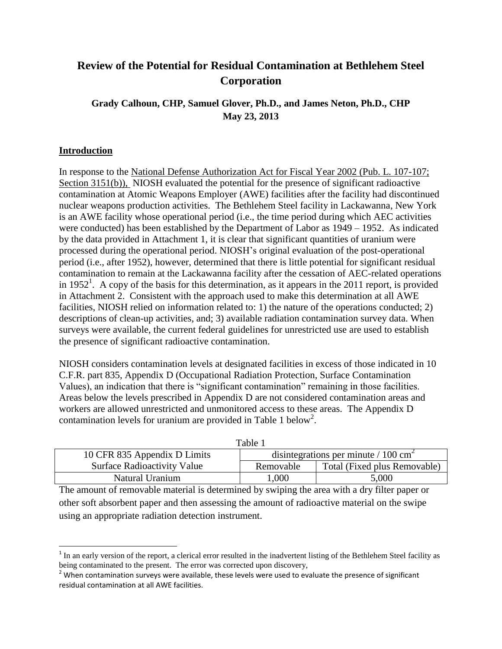# **Review of the Potential for Residual Contamination at Bethlehem Steel Corporation**

# **Grady Calhoun, CHP, Samuel Glover, Ph.D., and James Neton, Ph.D., CHP May 23, 2013**

#### **Introduction**

 $\overline{\phantom{a}}$ 

In response to the [National Defense Authorization Act for Fiscal Year 2002 \(Pub. L. 107-107;](http://www.cdc.gov/niosh/ocas/faqsdaa.html#daa02)  [Section 3151\(b\)\),](http://www.cdc.gov/niosh/ocas/faqsdaa.html#daa02) NIOSH evaluated the potential for the presence of significant radioactive contamination at Atomic Weapons Employer (AWE) facilities after the facility had discontinued nuclear weapons production activities. The Bethlehem Steel facility in Lackawanna, New York is an AWE facility whose operational period (i.e., the time period during which AEC activities were conducted) has been established by the Department of Labor as 1949 – 1952. As indicated by the data provided in Attachment 1, it is clear that significant quantities of uranium were processed during the operational period. NIOSH's original evaluation of the post-operational period (i.e., after 1952), however, determined that there is little potential for significant residual contamination to remain at the Lackawanna facility after the cessation of AEC-related operations in 1952<sup>1</sup>. A copy of the basis for this determination, as it appears in the 2011 report, is provided in Attachment 2. Consistent with the approach used to make this determination at all AWE facilities, NIOSH relied on information related to: 1) the nature of the operations conducted; 2) descriptions of clean-up activities, and; 3) available radiation contamination survey data. When surveys were available, the current federal guidelines for unrestricted use are used to establish the presence of significant radioactive contamination.

NIOSH considers contamination levels at designated facilities in excess of those indicated in 10 C.F.R. part 835, Appendix D (Occupational Radiation Protection, Surface Contamination Values), an indication that there is "significant contamination" remaining in those facilities. Areas below the levels prescribed in Appendix D are not considered contamination areas and workers are allowed unrestricted and unmonitored access to these areas. The Appendix D contamination levels for uranium are provided in Table 1 below<sup>2</sup>.

| Table 1                            |                                                    |                              |  |  |  |  |  |
|------------------------------------|----------------------------------------------------|------------------------------|--|--|--|--|--|
| 10 CFR 835 Appendix D Limits       | disintegrations per minute $/ 100$ cm <sup>2</sup> |                              |  |  |  |  |  |
| <b>Surface Radioactivity Value</b> | Removable                                          | Total (Fixed plus Removable) |  |  |  |  |  |
| Natural Uranium                    | ,000                                               | 5,000                        |  |  |  |  |  |

The amount of removable material is determined by swiping the area with a dry filter paper or other soft absorbent paper and then assessing the amount of radioactive material on the swipe using an appropriate radiation detection instrument.

 $1$  In an early version of the report, a clerical error resulted in the inadvertent listing of the Bethlehem Steel facility as being contaminated to the present. The error was corrected upon discovery,

 $2$  When contamination surveys were available, these levels were used to evaluate the presence of significant residual contamination at all AWE facilities.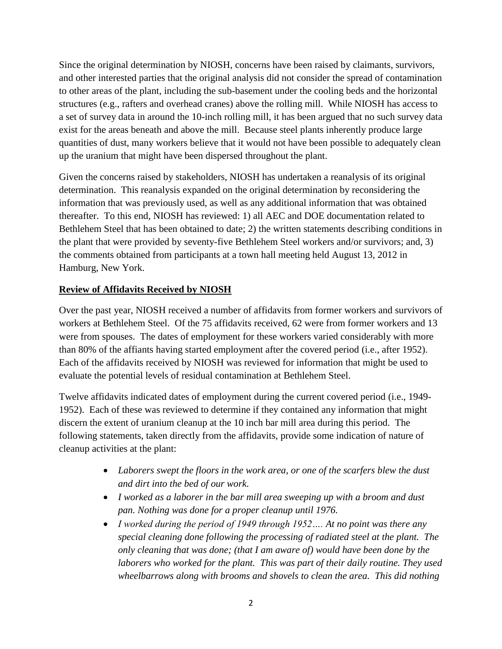Since the original determination by NIOSH, concerns have been raised by claimants, survivors, and other interested parties that the original analysis did not consider the spread of contamination to other areas of the plant, including the sub-basement under the cooling beds and the horizontal structures (e.g., rafters and overhead cranes) above the rolling mill. While NIOSH has access to a set of survey data in around the 10-inch rolling mill, it has been argued that no such survey data exist for the areas beneath and above the mill. Because steel plants inherently produce large quantities of dust, many workers believe that it would not have been possible to adequately clean up the uranium that might have been dispersed throughout the plant.

Given the concerns raised by stakeholders, NIOSH has undertaken a reanalysis of its original determination. This reanalysis expanded on the original determination by reconsidering the information that was previously used, as well as any additional information that was obtained thereafter. To this end, NIOSH has reviewed: 1) all AEC and DOE documentation related to Bethlehem Steel that has been obtained to date; 2) the written statements describing conditions in the plant that were provided by seventy-five Bethlehem Steel workers and/or survivors; and, 3) the comments obtained from participants at a town hall meeting held August 13, 2012 in Hamburg, New York.

### **Review of Affidavits Received by NIOSH**

Over the past year, NIOSH received a number of affidavits from former workers and survivors of workers at Bethlehem Steel. Of the 75 affidavits received, 62 were from former workers and 13 were from spouses. The dates of employment for these workers varied considerably with more than 80% of the affiants having started employment after the covered period (i.e., after 1952). Each of the affidavits received by NIOSH was reviewed for information that might be used to evaluate the potential levels of residual contamination at Bethlehem Steel.

Twelve affidavits indicated dates of employment during the current covered period (i.e., 1949- 1952). Each of these was reviewed to determine if they contained any information that might discern the extent of uranium cleanup at the 10 inch bar mill area during this period. The following statements, taken directly from the affidavits, provide some indication of nature of cleanup activities at the plant:

- *Laborers swept the floors in the work area, or one of the scarfers blew the dust and dirt into the bed of our work.*
- *I worked as a laborer in the bar mill area sweeping up with a broom and dust pan. Nothing was done for a proper cleanup until 1976.*
- *I worked during the period of 1949 through 1952…. At no point was there any special cleaning done following the processing of radiated steel at the plant. The only cleaning that was done; (that I am aware of) would have been done by the laborers who worked for the plant. This was part of their daily routine. They used wheelbarrows along with brooms and shovels to clean the area. This did nothing*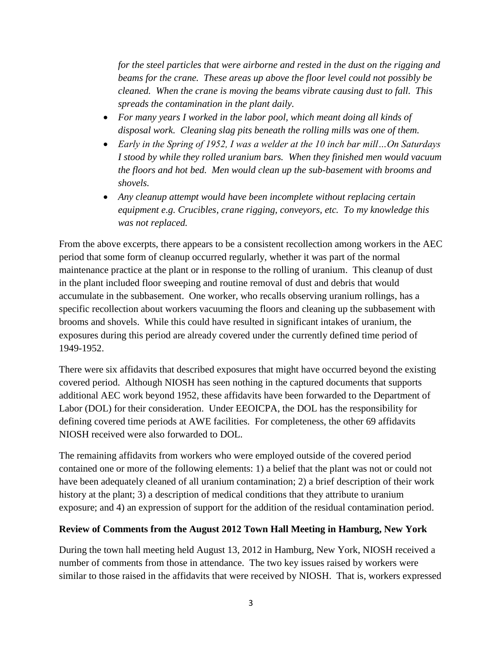*for the steel particles that were airborne and rested in the dust on the rigging and beams for the crane. These areas up above the floor level could not possibly be cleaned. When the crane is moving the beams vibrate causing dust to fall. This spreads the contamination in the plant daily.*

- *For many years I worked in the labor pool, which meant doing all kinds of disposal work. Cleaning slag pits beneath the rolling mills was one of them.*
- *Early in the Spring of 1952, I was a welder at the 10 inch bar mill…On Saturdays I stood by while they rolled uranium bars. When they finished men would vacuum the floors and hot bed. Men would clean up the sub-basement with brooms and shovels.*
- *Any cleanup attempt would have been incomplete without replacing certain equipment e.g. Crucibles, crane rigging, conveyors, etc. To my knowledge this was not replaced.*

From the above excerpts, there appears to be a consistent recollection among workers in the AEC period that some form of cleanup occurred regularly, whether it was part of the normal maintenance practice at the plant or in response to the rolling of uranium. This cleanup of dust in the plant included floor sweeping and routine removal of dust and debris that would accumulate in the subbasement. One worker, who recalls observing uranium rollings, has a specific recollection about workers vacuuming the floors and cleaning up the subbasement with brooms and shovels. While this could have resulted in significant intakes of uranium, the exposures during this period are already covered under the currently defined time period of 1949-1952.

There were six affidavits that described exposures that might have occurred beyond the existing covered period. Although NIOSH has seen nothing in the captured documents that supports additional AEC work beyond 1952, these affidavits have been forwarded to the Department of Labor (DOL) for their consideration. Under EEOICPA, the DOL has the responsibility for defining covered time periods at AWE facilities. For completeness, the other 69 affidavits NIOSH received were also forwarded to DOL.

The remaining affidavits from workers who were employed outside of the covered period contained one or more of the following elements: 1) a belief that the plant was not or could not have been adequately cleaned of all uranium contamination; 2) a brief description of their work history at the plant; 3) a description of medical conditions that they attribute to uranium exposure; and 4) an expression of support for the addition of the residual contamination period.

#### **Review of Comments from the August 2012 Town Hall Meeting in Hamburg, New York**

During the town hall meeting held August 13, 2012 in Hamburg, New York, NIOSH received a number of comments from those in attendance. The two key issues raised by workers were similar to those raised in the affidavits that were received by NIOSH. That is, workers expressed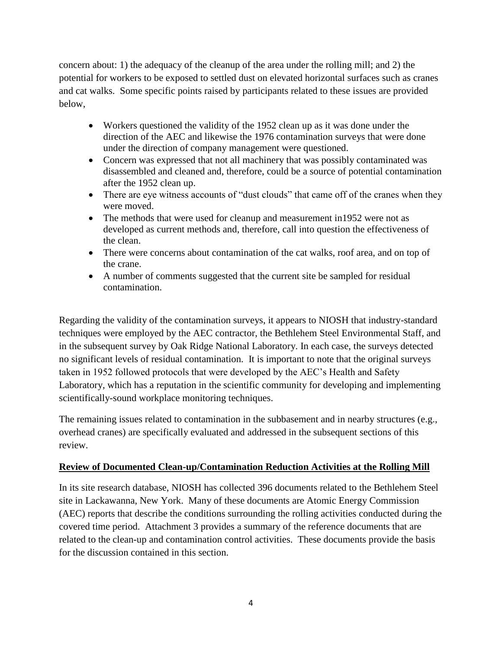concern about: 1) the adequacy of the cleanup of the area under the rolling mill; and 2) the potential for workers to be exposed to settled dust on elevated horizontal surfaces such as cranes and cat walks. Some specific points raised by participants related to these issues are provided below,

- Workers questioned the validity of the 1952 clean up as it was done under the direction of the AEC and likewise the 1976 contamination surveys that were done under the direction of company management were questioned.
- Concern was expressed that not all machinery that was possibly contaminated was disassembled and cleaned and, therefore, could be a source of potential contamination after the 1952 clean up.
- There are eye witness accounts of "dust clouds" that came off of the cranes when they were moved.
- The methods that were used for cleanup and measurement in 1952 were not as developed as current methods and, therefore, call into question the effectiveness of the clean.
- There were concerns about contamination of the cat walks, roof area, and on top of the crane.
- A number of comments suggested that the current site be sampled for residual contamination.

Regarding the validity of the contamination surveys, it appears to NIOSH that industry-standard techniques were employed by the AEC contractor, the Bethlehem Steel Environmental Staff, and in the subsequent survey by Oak Ridge National Laboratory. In each case, the surveys detected no significant levels of residual contamination. It is important to note that the original surveys taken in 1952 followed protocols that were developed by the AEC's Health and Safety Laboratory, which has a reputation in the scientific community for developing and implementing scientifically-sound workplace monitoring techniques.

The remaining issues related to contamination in the subbasement and in nearby structures (e.g., overhead cranes) are specifically evaluated and addressed in the subsequent sections of this review.

#### **Review of Documented Clean-up/Contamination Reduction Activities at the Rolling Mill**

In its site research database, NIOSH has collected 396 documents related to the Bethlehem Steel site in Lackawanna, New York. Many of these documents are Atomic Energy Commission (AEC) reports that describe the conditions surrounding the rolling activities conducted during the covered time period. Attachment 3 provides a summary of the reference documents that are related to the clean-up and contamination control activities. These documents provide the basis for the discussion contained in this section.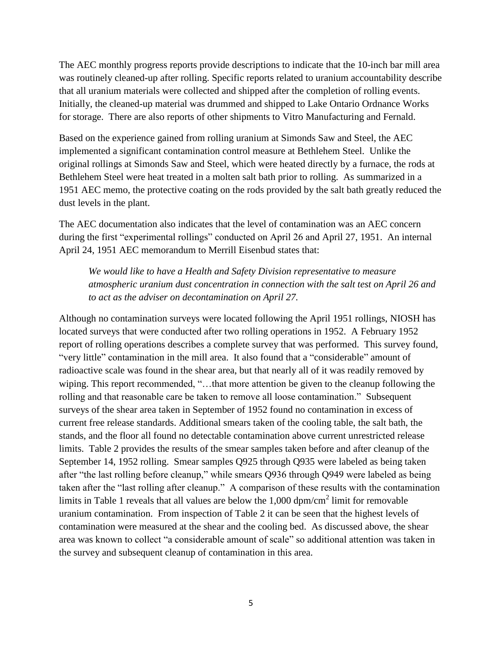The AEC monthly progress reports provide descriptions to indicate that the 10-inch bar mill area was routinely cleaned-up after rolling. Specific reports related to uranium accountability describe that all uranium materials were collected and shipped after the completion of rolling events. Initially, the cleaned-up material was drummed and shipped to Lake Ontario Ordnance Works for storage. There are also reports of other shipments to Vitro Manufacturing and Fernald.

Based on the experience gained from rolling uranium at Simonds Saw and Steel, the AEC implemented a significant contamination control measure at Bethlehem Steel. Unlike the original rollings at Simonds Saw and Steel, which were heated directly by a furnace, the rods at Bethlehem Steel were heat treated in a molten salt bath prior to rolling. As summarized in a 1951 AEC memo, the protective coating on the rods provided by the salt bath greatly reduced the dust levels in the plant.

The AEC documentation also indicates that the level of contamination was an AEC concern during the first "experimental rollings" conducted on April 26 and April 27, 1951. An internal April 24, 1951 AEC memorandum to Merrill Eisenbud states that:

*We would like to have a Health and Safety Division representative to measure atmospheric uranium dust concentration in connection with the salt test on April 26 and to act as the adviser on decontamination on April 27.* 

Although no contamination surveys were located following the April 1951 rollings, NIOSH has located surveys that were conducted after two rolling operations in 1952. A February 1952 report of rolling operations describes a complete survey that was performed. This survey found, "very little" contamination in the mill area. It also found that a "considerable" amount of radioactive scale was found in the shear area, but that nearly all of it was readily removed by wiping. This report recommended, "…that more attention be given to the cleanup following the rolling and that reasonable care be taken to remove all loose contamination." Subsequent surveys of the shear area taken in September of 1952 found no contamination in excess of current free release standards. Additional smears taken of the cooling table, the salt bath, the stands, and the floor all found no detectable contamination above current unrestricted release limits. Table 2 provides the results of the smear samples taken before and after cleanup of the September 14, 1952 rolling. Smear samples Q925 through Q935 were labeled as being taken after "the last rolling before cleanup," while smears Q936 through Q949 were labeled as being taken after the "last rolling after cleanup." A comparison of these results with the contamination limits in Table 1 reveals that all values are below the  $1,000$  dpm/cm<sup>2</sup> limit for removable uranium contamination. From inspection of Table 2 it can be seen that the highest levels of contamination were measured at the shear and the cooling bed. As discussed above, the shear area was known to collect "a considerable amount of scale" so additional attention was taken in the survey and subsequent cleanup of contamination in this area.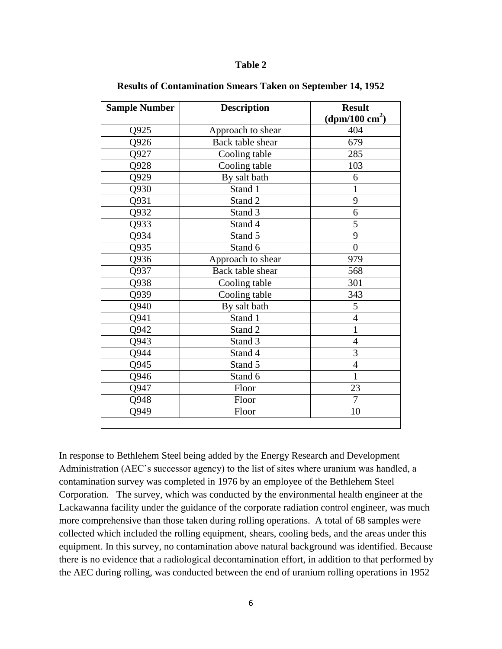#### **Table 2**

| <b>Sample Number</b> | <b>Description</b> | <b>Result</b><br>(dpm/100 $\rm cm^2$ ) |  |
|----------------------|--------------------|----------------------------------------|--|
| Q925                 | Approach to shear  | 404                                    |  |
| Q926                 | Back table shear   | 679                                    |  |
| Q927                 | Cooling table      | 285                                    |  |
| Q928                 | Cooling table      | 103                                    |  |
| Q929                 | By salt bath       | 6                                      |  |
| Q930                 | Stand 1            | $\mathbf{1}$                           |  |
| Q931                 | Stand 2            | 9                                      |  |
| Q932                 | Stand 3            | 6                                      |  |
| Q933                 | Stand 4            | 5                                      |  |
| Q934                 | Stand 5            | 9                                      |  |
| Q935                 | Stand 6            | $\overline{0}$                         |  |
| Q936                 | Approach to shear  | 979                                    |  |
| Q937                 | Back table shear   | 568                                    |  |
| Q938                 | Cooling table      | 301                                    |  |
| Q939                 | Cooling table      | 343                                    |  |
| Q940                 | By salt bath       | 5                                      |  |
| Q941                 | Stand 1            | $\overline{4}$                         |  |
| Q942                 | Stand 2            | $\mathbf{1}$                           |  |
| Q943                 | Stand 3            | $\overline{4}$                         |  |
| Q944                 | Stand 4            | 3                                      |  |
| Q945                 | Stand 5            | $\overline{4}$                         |  |
| Q946                 | Stand 6            | $\mathbf{1}$                           |  |
| Q947                 | Floor              | 23                                     |  |
| Q948                 | Floor              | $\overline{7}$                         |  |
| Q949                 | Floor              | 10                                     |  |
|                      |                    |                                        |  |

#### **Results of Contamination Smears Taken on September 14, 1952**

In response to Bethlehem Steel being added by the Energy Research and Development Administration (AEC's successor agency) to the list of sites where uranium was handled, a contamination survey was completed in 1976 by an employee of the Bethlehem Steel Corporation. The survey, which was conducted by the environmental health engineer at the Lackawanna facility under the guidance of the corporate radiation control engineer, was much more comprehensive than those taken during rolling operations. A total of 68 samples were collected which included the rolling equipment, shears, cooling beds, and the areas under this equipment. In this survey, no contamination above natural background was identified. Because there is no evidence that a radiological decontamination effort, in addition to that performed by the AEC during rolling, was conducted between the end of uranium rolling operations in 1952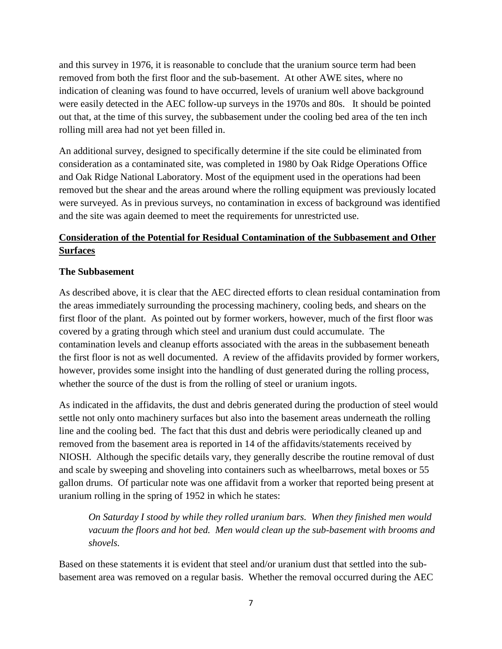and this survey in 1976, it is reasonable to conclude that the uranium source term had been removed from both the first floor and the sub-basement. At other AWE sites, where no indication of cleaning was found to have occurred, levels of uranium well above background were easily detected in the AEC follow-up surveys in the 1970s and 80s. It should be pointed out that, at the time of this survey, the subbasement under the cooling bed area of the ten inch rolling mill area had not yet been filled in.

An additional survey, designed to specifically determine if the site could be eliminated from consideration as a contaminated site, was completed in 1980 by Oak Ridge Operations Office and Oak Ridge National Laboratory. Most of the equipment used in the operations had been removed but the shear and the areas around where the rolling equipment was previously located were surveyed. As in previous surveys, no contamination in excess of background was identified and the site was again deemed to meet the requirements for unrestricted use.

# **Consideration of the Potential for Residual Contamination of the Subbasement and Other Surfaces**

#### **The Subbasement**

As described above, it is clear that the AEC directed efforts to clean residual contamination from the areas immediately surrounding the processing machinery, cooling beds, and shears on the first floor of the plant. As pointed out by former workers, however, much of the first floor was covered by a grating through which steel and uranium dust could accumulate. The contamination levels and cleanup efforts associated with the areas in the subbasement beneath the first floor is not as well documented. A review of the affidavits provided by former workers, however, provides some insight into the handling of dust generated during the rolling process, whether the source of the dust is from the rolling of steel or uranium ingots.

As indicated in the affidavits, the dust and debris generated during the production of steel would settle not only onto machinery surfaces but also into the basement areas underneath the rolling line and the cooling bed. The fact that this dust and debris were periodically cleaned up and removed from the basement area is reported in 14 of the affidavits/statements received by NIOSH. Although the specific details vary, they generally describe the routine removal of dust and scale by sweeping and shoveling into containers such as wheelbarrows, metal boxes or 55 gallon drums. Of particular note was one affidavit from a worker that reported being present at uranium rolling in the spring of 1952 in which he states:

*On Saturday I stood by while they rolled uranium bars. When they finished men would vacuum the floors and hot bed. Men would clean up the sub-basement with brooms and shovels.*

Based on these statements it is evident that steel and/or uranium dust that settled into the subbasement area was removed on a regular basis. Whether the removal occurred during the AEC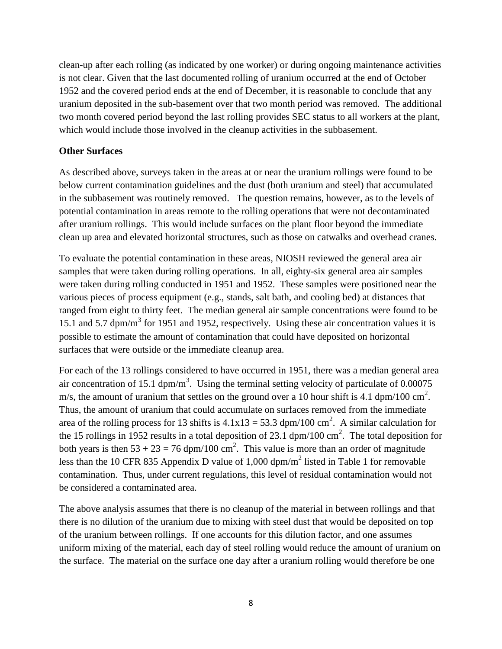clean-up after each rolling (as indicated by one worker) or during ongoing maintenance activities is not clear. Given that the last documented rolling of uranium occurred at the end of October 1952 and the covered period ends at the end of December, it is reasonable to conclude that any uranium deposited in the sub-basement over that two month period was removed. The additional two month covered period beyond the last rolling provides SEC status to all workers at the plant, which would include those involved in the cleanup activities in the subbasement.

#### **Other Surfaces**

As described above, surveys taken in the areas at or near the uranium rollings were found to be below current contamination guidelines and the dust (both uranium and steel) that accumulated in the subbasement was routinely removed. The question remains, however, as to the levels of potential contamination in areas remote to the rolling operations that were not decontaminated after uranium rollings. This would include surfaces on the plant floor beyond the immediate clean up area and elevated horizontal structures, such as those on catwalks and overhead cranes.

To evaluate the potential contamination in these areas, NIOSH reviewed the general area air samples that were taken during rolling operations. In all, eighty-six general area air samples were taken during rolling conducted in 1951 and 1952. These samples were positioned near the various pieces of process equipment (e.g., stands, salt bath, and cooling bed) at distances that ranged from eight to thirty feet. The median general air sample concentrations were found to be 15.1 and 5.7 dpm/m<sup>3</sup> for 1951 and 1952, respectively. Using these air concentration values it is possible to estimate the amount of contamination that could have deposited on horizontal surfaces that were outside or the immediate cleanup area.

For each of the 13 rollings considered to have occurred in 1951, there was a median general area air concentration of 15.1 dpm/m<sup>3</sup>. Using the terminal setting velocity of particulate of 0.00075 m/s, the amount of uranium that settles on the ground over a 10 hour shift is 4.1 dpm/100 cm<sup>2</sup>. Thus, the amount of uranium that could accumulate on surfaces removed from the immediate area of the rolling process for 13 shifts is  $4.1x13 = 53.3$  dpm/100 cm<sup>2</sup>. A similar calculation for the 15 rollings in 1952 results in a total deposition of 23.1 dpm/100 cm<sup>2</sup>. The total deposition for both years is then  $53 + 23 = 76$  dpm/100 cm<sup>2</sup>. This value is more than an order of magnitude less than the 10 CFR 835 Appendix D value of 1,000  $\text{dpm/m}^2$  listed in Table 1 for removable contamination. Thus, under current regulations, this level of residual contamination would not be considered a contaminated area.

The above analysis assumes that there is no cleanup of the material in between rollings and that there is no dilution of the uranium due to mixing with steel dust that would be deposited on top of the uranium between rollings. If one accounts for this dilution factor, and one assumes uniform mixing of the material, each day of steel rolling would reduce the amount of uranium on the surface. The material on the surface one day after a uranium rolling would therefore be one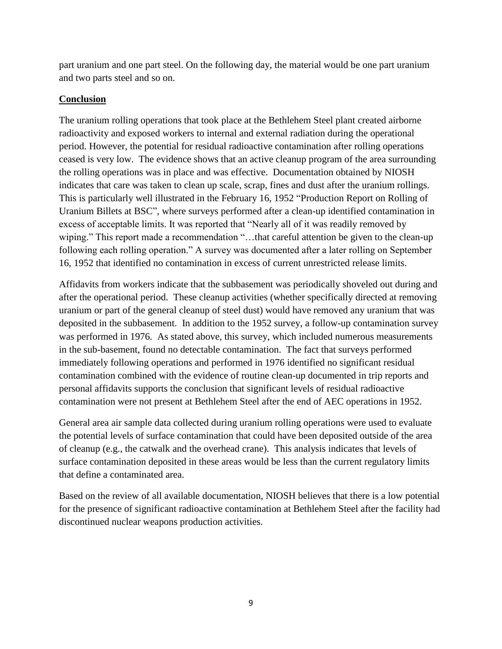part uranium and one part steel. On the following day, the material would be one part uranium and two parts steel and so on.

### **Conclusion**

The uranium rolling operations that took place at the Bethlehem Steel plant created airborne radioactivity and exposed workers to internal and external radiation during the operational period. However, the potential for residual radioactive contamination after rolling operations ceased is very low. The evidence shows that an active cleanup program of the area surrounding the rolling operations was in place and was effective. Documentation obtained by NIOSH indicates that care was taken to clean up scale, scrap, fines and dust after the uranium rollings. This is particularly well illustrated in the February 16, 1952 "Production Report on Rolling of Uranium Billets at BSC", where surveys performed after a clean-up identified contamination in excess of acceptable limits. It was reported that "Nearly all of it was readily removed by wiping." This report made a recommendation "…that careful attention be given to the clean-up following each rolling operation." A survey was documented after a later rolling on September 16, 1952 that identified no contamination in excess of current unrestricted release limits.

Affidavits from workers indicate that the subbasement was periodically shoveled out during and after the operational period. These cleanup activities (whether specifically directed at removing uranium or part of the general cleanup of steel dust) would have removed any uranium that was deposited in the subbasement. In addition to the 1952 survey, a follow-up contamination survey was performed in 1976. As stated above, this survey, which included numerous measurements in the sub-basement, found no detectable contamination. The fact that surveys performed immediately following operations and performed in 1976 identified no significant residual contamination combined with the evidence of routine clean-up documented in trip reports and personal affidavits supports the conclusion that significant levels of residual radioactive contamination were not present at Bethlehem Steel after the end of AEC operations in 1952.

General area air sample data collected during uranium rolling operations were used to evaluate the potential levels of surface contamination that could have been deposited outside of the area of cleanup (e.g., the catwalk and the overhead crane). This analysis indicates that levels of surface contamination deposited in these areas would be less than the current regulatory limits that define a contaminated area.

Based on the review of all available documentation, NIOSH believes that there is a low potential for the presence of significant radioactive contamination at Bethlehem Steel after the facility had discontinued nuclear weapons production activities.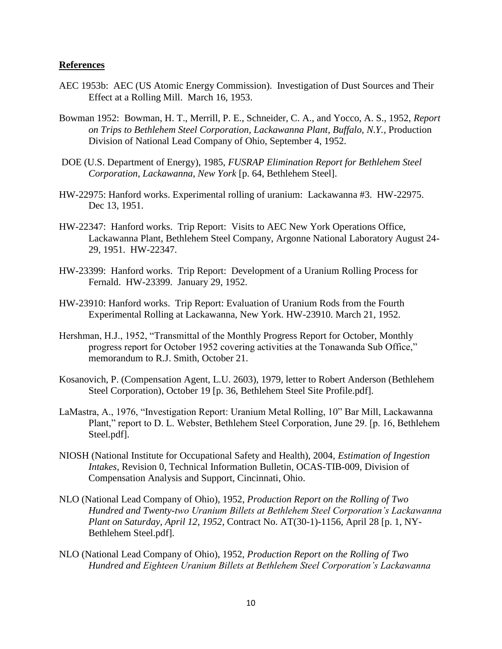#### **References**

- AEC 1953b: AEC (US Atomic Energy Commission). Investigation of Dust Sources and Their Effect at a Rolling Mill. March 16, 1953.
- Bowman 1952: Bowman, H. T., Merrill, P. E., Schneider, C. A., and Yocco, A. S., 1952, *Report on Trips to Bethlehem Steel Corporation, Lackawanna Plant, Buffalo, N.Y.*, Production Division of National Lead Company of Ohio, September 4, 1952.
- DOE (U.S. Department of Energy), 1985, *FUSRAP Elimination Report for Bethlehem Steel Corporation, Lackawanna, New York* [p. 64, Bethlehem Steel].
- HW-22975: Hanford works. Experimental rolling of uranium: Lackawanna #3. HW-22975. Dec 13, 1951.
- HW-22347: Hanford works. Trip Report: Visits to AEC New York Operations Office, Lackawanna Plant, Bethlehem Steel Company, Argonne National Laboratory August 24- 29, 1951. HW-22347.
- HW-23399: Hanford works. Trip Report: Development of a Uranium Rolling Process for Fernald. HW-23399. January 29, 1952.
- HW-23910: Hanford works. Trip Report: Evaluation of Uranium Rods from the Fourth Experimental Rolling at Lackawanna, New York. HW-23910. March 21, 1952.
- Hershman, H.J., 1952, "Transmittal of the Monthly Progress Report for October, Monthly progress report for October 1952 covering activities at the Tonawanda Sub Office," memorandum to R.J. Smith, October 21.
- Kosanovich, P. (Compensation Agent, L.U. 2603), 1979, letter to Robert Anderson (Bethlehem Steel Corporation), October 19 [p. 36, Bethlehem Steel Site Profile.pdf].
- LaMastra, A., 1976, "Investigation Report: Uranium Metal Rolling, 10" Bar Mill, Lackawanna Plant," report to D. L. Webster, Bethlehem Steel Corporation, June 29. [p. 16, Bethlehem Steel.pdf].
- NIOSH (National Institute for Occupational Safety and Health), 2004, *Estimation of Ingestion Intakes*, Revision 0, Technical Information Bulletin, OCAS-TIB-009, Division of Compensation Analysis and Support, Cincinnati, Ohio.
- NLO (National Lead Company of Ohio), 1952, *Production Report on the Rolling of Two Hundred and Twenty-two Uranium Billets at Bethlehem Steel Corporation's Lackawanna Plant on Saturday, April 12, 1952*, Contract No. AT(30-1)-1156, April 28 [p. 1, NY-Bethlehem Steel.pdf].
- NLO (National Lead Company of Ohio), 1952, *Production Report on the Rolling of Two Hundred and Eighteen Uranium Billets at Bethlehem Steel Corporation's Lackawanna*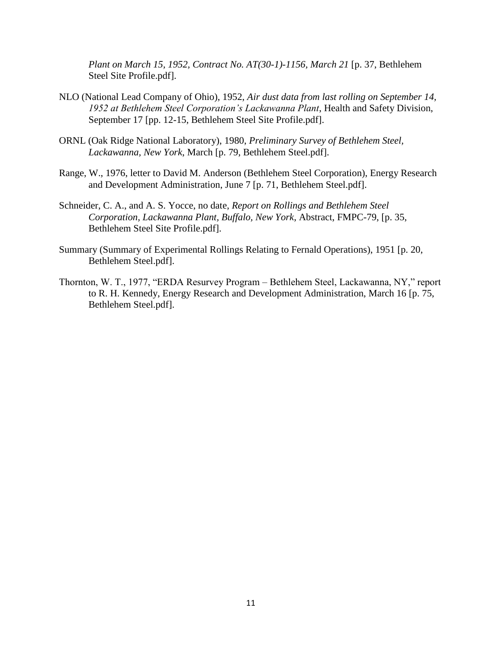*Plant on March 15, 1952, Contract No. AT(30-1)-1156, March 21* [p. 37, Bethlehem Steel Site Profile.pdf].

- NLO (National Lead Company of Ohio), 1952, *Air dust data from last rolling on September 14, 1952 at Bethlehem Steel Corporation's Lackawanna Plant*, Health and Safety Division, September 17 [pp. 12-15, Bethlehem Steel Site Profile.pdf].
- ORNL (Oak Ridge National Laboratory), 1980, *Preliminary Survey of Bethlehem Steel, Lackawanna, New York*, March [p. 79, Bethlehem Steel.pdf].
- Range, W., 1976, letter to David M. Anderson (Bethlehem Steel Corporation), Energy Research and Development Administration, June 7 [p. 71, Bethlehem Steel.pdf].
- Schneider, C. A., and A. S. Yocce, no date, *Report on Rollings and Bethlehem Steel Corporation, Lackawanna Plant, Buffalo, New York*, Abstract, FMPC-79, [p. 35, Bethlehem Steel Site Profile.pdf].
- Summary (Summary of Experimental Rollings Relating to Fernald Operations), 1951 [p. 20, Bethlehem Steel.pdf].
- Thornton, W. T., 1977, "ERDA Resurvey Program Bethlehem Steel, Lackawanna, NY," report to R. H. Kennedy, Energy Research and Development Administration, March 16 [p. 75, Bethlehem Steel.pdf].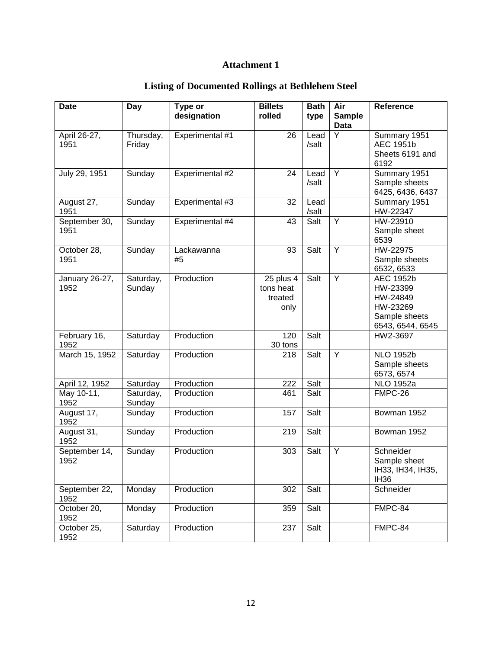# **Attachment 1**

| <b>Listing of Documented Rollings at Bethlehem Steel</b> |  |
|----------------------------------------------------------|--|
|----------------------------------------------------------|--|

| <b>Date</b>            | Day                 | Type or<br>designation | <b>Billets</b><br>rolled                  | <b>Bath</b><br>type | Air<br><b>Sample</b> | Reference                                                                                 |
|------------------------|---------------------|------------------------|-------------------------------------------|---------------------|----------------------|-------------------------------------------------------------------------------------------|
|                        |                     |                        |                                           |                     | Data                 |                                                                                           |
| April 26-27,<br>1951   | Thursday,<br>Friday | Experimental #1        | 26                                        | Lead<br>/salt       | Y                    | Summary 1951<br><b>AEC 1951b</b><br>Sheets 6191 and<br>6192                               |
| July 29, 1951          | Sunday              | Experimental #2        | 24                                        | Lead<br>/salt       | Y                    | Summary 1951<br>Sample sheets<br>6425, 6436, 6437                                         |
| August 27,<br>1951     | Sunday              | Experimental #3        | 32                                        | Lead<br>/salt       |                      | Summary 1951<br>HW-22347                                                                  |
| September 30,<br>1951  | Sunday              | Experimental #4        | 43                                        | Salt                | Y                    | HW-23910<br>Sample sheet<br>6539                                                          |
| October 28,<br>1951    | Sunday              | Lackawanna<br>#5       | 93                                        | Salt                | Y                    | HW-22975<br>Sample sheets<br>6532, 6533                                                   |
| January 26-27,<br>1952 | Saturday,<br>Sunday | Production             | 25 plus 4<br>tons heat<br>treated<br>only | Salt                | Y                    | <b>AEC 1952b</b><br>HW-23399<br>HW-24849<br>HW-23269<br>Sample sheets<br>6543, 6544, 6545 |
| February 16,<br>1952   | Saturday            | Production             | 120<br>30 tons                            | Salt                |                      | HW2-3697                                                                                  |
| March 15, 1952         | Saturday            | Production             | 218                                       | Salt                | Y                    | <b>NLO 1952b</b><br>Sample sheets<br>6573, 6574                                           |
| April 12, 1952         | Saturday            | Production             | 222                                       | Salt                |                      | <b>NLO 1952a</b>                                                                          |
| May 10-11,<br>1952     | Saturday,<br>Sunday | Production             | 461                                       | Salt                |                      | FMPC-26                                                                                   |
| August 17,<br>1952     | Sunday              | Production             | 157                                       | Salt                |                      | Bowman 1952                                                                               |
| August 31,<br>1952     | Sunday              | Production             | 219                                       | Salt                |                      | Bowman 1952                                                                               |
| September 14,<br>1952  | Sunday              | Production             | 303                                       | Salt                | Y                    | Schneider<br>Sample sheet<br>IH33, IH34, IH35,<br><b>IH36</b>                             |
| September 22,<br>1952  | Monday              | Production             | 302                                       | Salt                |                      | Schneider                                                                                 |
| October 20,<br>1952    | Monday              | Production             | 359                                       | Salt                |                      | FMPC-84                                                                                   |
| October 25,<br>1952    | Saturday            | Production             | 237                                       | Salt                |                      | FMPC-84                                                                                   |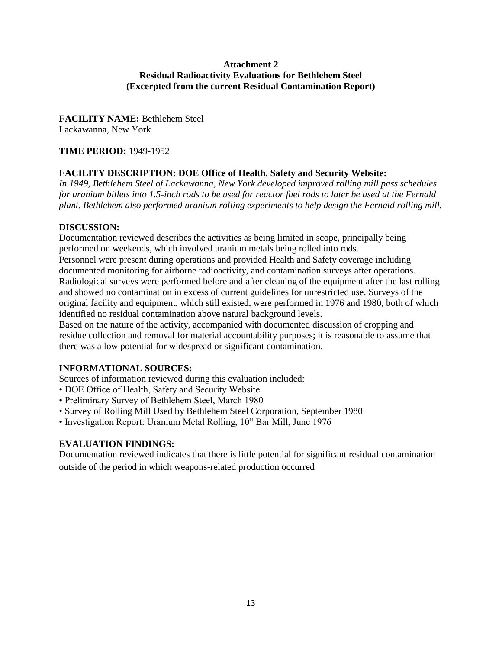#### **Attachment 2 Residual Radioactivity Evaluations for Bethlehem Steel (Excerpted from the current Residual Contamination Report)**

# **FACILITY NAME:** Bethlehem Steel

Lackawanna, New York

## **TIME PERIOD:** 1949-1952

# **FACILITY DESCRIPTION: DOE Office of Health, Safety and Security Website:**

*In 1949, Bethlehem Steel of Lackawanna, New York developed improved rolling mill pass schedules for uranium billets into 1.5-inch rods to be used for reactor fuel rods to later be used at the Fernald plant. Bethlehem also performed uranium rolling experiments to help design the Fernald rolling mill.* 

### **DISCUSSION:**

Documentation reviewed describes the activities as being limited in scope, principally being performed on weekends, which involved uranium metals being rolled into rods.

Personnel were present during operations and provided Health and Safety coverage including documented monitoring for airborne radioactivity, and contamination surveys after operations. Radiological surveys were performed before and after cleaning of the equipment after the last rolling and showed no contamination in excess of current guidelines for unrestricted use. Surveys of the original facility and equipment, which still existed, were performed in 1976 and 1980, both of which identified no residual contamination above natural background levels.

Based on the nature of the activity, accompanied with documented discussion of cropping and residue collection and removal for material accountability purposes; it is reasonable to assume that there was a low potential for widespread or significant contamination.

# **INFORMATIONAL SOURCES:**

Sources of information reviewed during this evaluation included:

- DOE Office of Health, Safety and Security Website
- Preliminary Survey of Bethlehem Steel, March 1980
- Survey of Rolling Mill Used by Bethlehem Steel Corporation, September 1980
- Investigation Report: Uranium Metal Rolling, 10" Bar Mill, June 1976

# **EVALUATION FINDINGS:**

Documentation reviewed indicates that there is little potential for significant residual contamination outside of the period in which weapons-related production occurred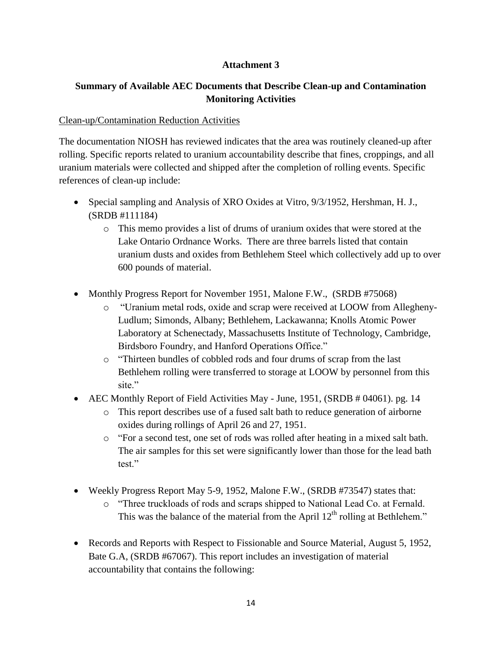### **Attachment 3**

# **Summary of Available AEC Documents that Describe Clean-up and Contamination Monitoring Activities**

#### Clean-up/Contamination Reduction Activities

The documentation NIOSH has reviewed indicates that the area was routinely cleaned-up after rolling. Specific reports related to uranium accountability describe that fines, croppings, and all uranium materials were collected and shipped after the completion of rolling events. Specific references of clean-up include:

- Special sampling and Analysis of XRO Oxides at Vitro, 9/3/1952, Hershman, H. J., (SRDB #111184)
	- o This memo provides a list of drums of uranium oxides that were stored at the Lake Ontario Ordnance Works. There are three barrels listed that contain uranium dusts and oxides from Bethlehem Steel which collectively add up to over 600 pounds of material.
- Monthly Progress Report for November 1951, Malone F.W., (SRDB #75068)
	- o "Uranium metal rods, oxide and scrap were received at LOOW from Allegheny-Ludlum; Simonds, Albany; Bethlehem, Lackawanna; Knolls Atomic Power Laboratory at Schenectady, Massachusetts Institute of Technology, Cambridge, Birdsboro Foundry, and Hanford Operations Office."
	- o "Thirteen bundles of cobbled rods and four drums of scrap from the last Bethlehem rolling were transferred to storage at LOOW by personnel from this site"
- AEC Monthly Report of Field Activities May June, 1951, (SRDB # 04061). pg. 14
	- o This report describes use of a fused salt bath to reduce generation of airborne oxides during rollings of April 26 and 27, 1951.
	- o "For a second test, one set of rods was rolled after heating in a mixed salt bath. The air samples for this set were significantly lower than those for the lead bath test."
- Weekly Progress Report May 5-9, 1952, Malone F.W., (SRDB #73547) states that:
	- o "Three truckloads of rods and scraps shipped to National Lead Co. at Fernald. This was the balance of the material from the April  $12<sup>th</sup>$  rolling at Bethlehem."
- Records and Reports with Respect to Fissionable and Source Material, August 5, 1952, Bate G.A, (SRDB #67067). This report includes an investigation of material accountability that contains the following: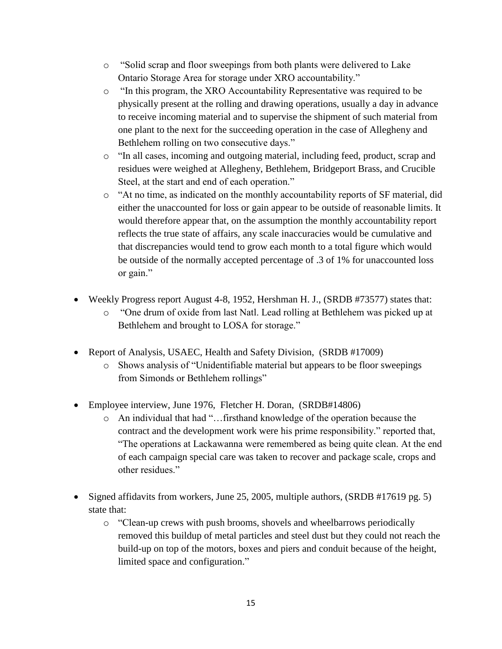- o "Solid scrap and floor sweepings from both plants were delivered to Lake Ontario Storage Area for storage under XRO accountability."
- o "In this program, the XRO Accountability Representative was required to be physically present at the rolling and drawing operations, usually a day in advance to receive incoming material and to supervise the shipment of such material from one plant to the next for the succeeding operation in the case of Allegheny and Bethlehem rolling on two consecutive days."
- o "In all cases, incoming and outgoing material, including feed, product, scrap and residues were weighed at Allegheny, Bethlehem, Bridgeport Brass, and Crucible Steel, at the start and end of each operation."
- o "At no time, as indicated on the monthly accountability reports of SF material, did either the unaccounted for loss or gain appear to be outside of reasonable limits. It would therefore appear that, on the assumption the monthly accountability report reflects the true state of affairs, any scale inaccuracies would be cumulative and that discrepancies would tend to grow each month to a total figure which would be outside of the normally accepted percentage of .3 of 1% for unaccounted loss or gain."
- Weekly Progress report August 4-8, 1952, Hershman H. J., (SRDB #73577) states that:
	- o "One drum of oxide from last Natl. Lead rolling at Bethlehem was picked up at Bethlehem and brought to LOSA for storage."
- Report of Analysis, USAEC, Health and Safety Division, (SRDB #17009)
	- o Shows analysis of "Unidentifiable material but appears to be floor sweepings from Simonds or Bethlehem rollings"
- Employee interview, June 1976, Fletcher H. Doran, (SRDB#14806)
	- o An individual that had "…firsthand knowledge of the operation because the contract and the development work were his prime responsibility." reported that, "The operations at Lackawanna were remembered as being quite clean. At the end of each campaign special care was taken to recover and package scale, crops and other residues."
- Signed affidavits from workers, June 25, 2005, multiple authors, (SRDB #17619 pg. 5) state that:
	- o "Clean-up crews with push brooms, shovels and wheelbarrows periodically removed this buildup of metal particles and steel dust but they could not reach the build-up on top of the motors, boxes and piers and conduit because of the height, limited space and configuration."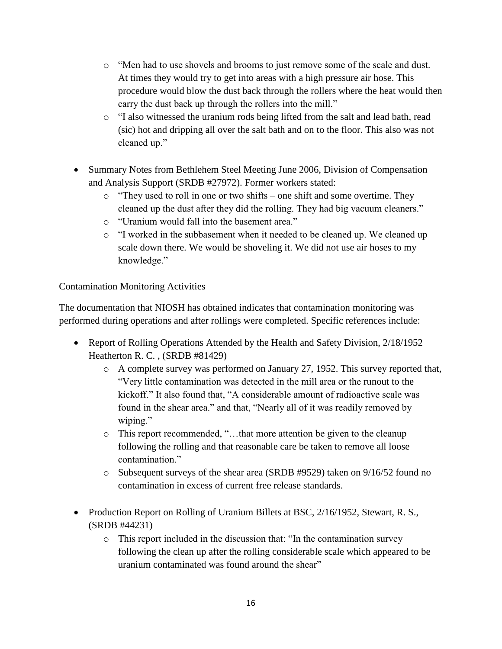- o "Men had to use shovels and brooms to just remove some of the scale and dust. At times they would try to get into areas with a high pressure air hose. This procedure would blow the dust back through the rollers where the heat would then carry the dust back up through the rollers into the mill."
- o "I also witnessed the uranium rods being lifted from the salt and lead bath, read (sic) hot and dripping all over the salt bath and on to the floor. This also was not cleaned up."
- Summary Notes from Bethlehem Steel Meeting June 2006, Division of Compensation and Analysis Support (SRDB #27972). Former workers stated:
	- $\circ$  "They used to roll in one or two shifts one shift and some overtime. They cleaned up the dust after they did the rolling. They had big vacuum cleaners."
	- o "Uranium would fall into the basement area."
	- o "I worked in the subbasement when it needed to be cleaned up. We cleaned up scale down there. We would be shoveling it. We did not use air hoses to my knowledge."

# Contamination Monitoring Activities

The documentation that NIOSH has obtained indicates that contamination monitoring was performed during operations and after rollings were completed. Specific references include:

- Report of Rolling Operations Attended by the Health and Safety Division, 2/18/1952 Heatherton R. C. , (SRDB #81429)
	- o A complete survey was performed on January 27, 1952. This survey reported that, "Very little contamination was detected in the mill area or the runout to the kickoff." It also found that, "A considerable amount of radioactive scale was found in the shear area." and that, "Nearly all of it was readily removed by wiping."
	- o This report recommended, "…that more attention be given to the cleanup following the rolling and that reasonable care be taken to remove all loose contamination."
	- $\circ$  Subsequent surveys of the shear area (SRDB #9529) taken on 9/16/52 found no contamination in excess of current free release standards.
- Production Report on Rolling of Uranium Billets at BSC, 2/16/1952, Stewart, R. S., (SRDB #44231)
	- o This report included in the discussion that: "In the contamination survey following the clean up after the rolling considerable scale which appeared to be uranium contaminated was found around the shear"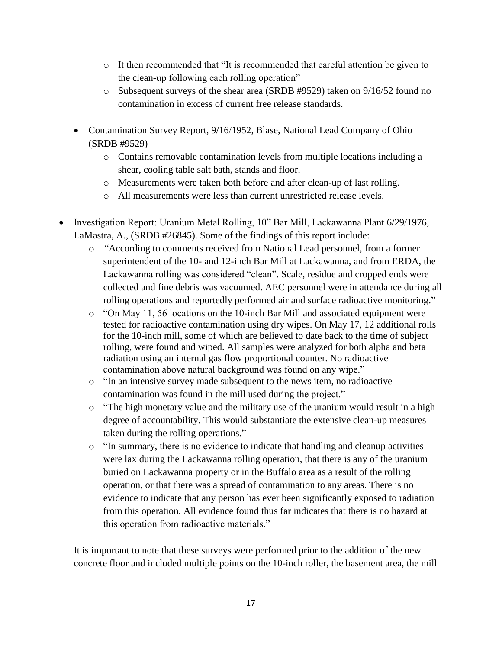- o It then recommended that "It is recommended that careful attention be given to the clean-up following each rolling operation"
- o Subsequent surveys of the shear area (SRDB #9529) taken on 9/16/52 found no contamination in excess of current free release standards.
- Contamination Survey Report, 9/16/1952, Blase, National Lead Company of Ohio (SRDB #9529)
	- o Contains removable contamination levels from multiple locations including a shear, cooling table salt bath, stands and floor.
	- o Measurements were taken both before and after clean-up of last rolling.
	- o All measurements were less than current unrestricted release levels.
- Investigation Report: Uranium Metal Rolling, 10" Bar Mill, Lackawanna Plant 6/29/1976, LaMastra, A., (SRDB #26845). Some of the findings of this report include:
	- o *"*According to comments received from National Lead personnel, from a former superintendent of the 10- and 12-inch Bar Mill at Lackawanna, and from ERDA, the Lackawanna rolling was considered "clean". Scale, residue and cropped ends were collected and fine debris was vacuumed. AEC personnel were in attendance during all rolling operations and reportedly performed air and surface radioactive monitoring."
	- o "On May 11, 56 locations on the 10-inch Bar Mill and associated equipment were tested for radioactive contamination using dry wipes. On May 17, 12 additional rolls for the 10-inch mill, some of which are believed to date back to the time of subject rolling, were found and wiped. All samples were analyzed for both alpha and beta radiation using an internal gas flow proportional counter. No radioactive contamination above natural background was found on any wipe."
	- o "In an intensive survey made subsequent to the news item, no radioactive contamination was found in the mill used during the project."
	- $\circ$  "The high monetary value and the military use of the uranium would result in a high degree of accountability. This would substantiate the extensive clean-up measures taken during the rolling operations."
	- o "In summary, there is no evidence to indicate that handling and cleanup activities were lax during the Lackawanna rolling operation, that there is any of the uranium buried on Lackawanna property or in the Buffalo area as a result of the rolling operation, or that there was a spread of contamination to any areas. There is no evidence to indicate that any person has ever been significantly exposed to radiation from this operation. All evidence found thus far indicates that there is no hazard at this operation from radioactive materials."

It is important to note that these surveys were performed prior to the addition of the new concrete floor and included multiple points on the 10-inch roller, the basement area, the mill